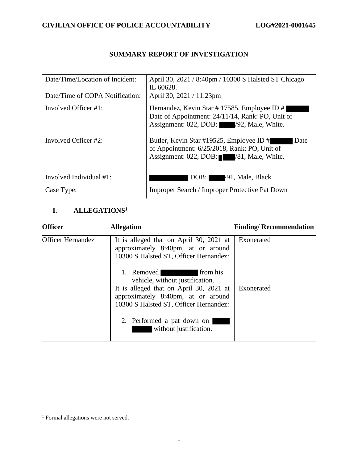## **SUMMARY REPORT OF INVESTIGATION**

| Date/Time/Location of Incident: | April 30, 2021 / 8:40pm / 10300 S Halsted ST Chicago<br>IL 60628.                                                                           |
|---------------------------------|---------------------------------------------------------------------------------------------------------------------------------------------|
| Date/Time of COPA Notification: | April 30, 2021 / 11:23pm                                                                                                                    |
| Involved Officer #1:            | Hernandez, Kevin Star # 17585, Employee ID #<br>Date of Appointment: 24/11/14, Rank: PO, Unit of<br>Assignment: 022, DOB: /92, Male, White. |
| Involved Officer #2:            | Butler, Kevin Star #19525, Employee ID #<br>Date<br>of Appointment: 6/25/2018, Rank: PO, Unit of<br>Assignment: 022, DOB: /81, Male, White. |
| Involved Individual #1:         | /91, Male, Black<br>DOB:                                                                                                                    |
| Case Type:                      | Improper Search / Improper Protective Pat Down                                                                                              |

## **I. ALLEGATIONS<sup>1</sup>**

| <b>Officer</b>           | <b>Allegation</b>                                                                                                                                                                                                                                                                                                                                                       | <b>Finding/Recommendation</b> |
|--------------------------|-------------------------------------------------------------------------------------------------------------------------------------------------------------------------------------------------------------------------------------------------------------------------------------------------------------------------------------------------------------------------|-------------------------------|
| <b>Officer Hernandez</b> | It is alleged that on April 30, 2021 at<br>approximately 8:40pm, at or around<br>10300 S Halsted ST, Officer Hernandez:<br>1. Removed<br>from his<br>vehicle, without justification.<br>It is alleged that on April 30, 2021 at<br>approximately 8:40pm, at or around<br>10300 S Halsted ST, Officer Hernandez:<br>2. Performed a pat down on<br>without justification. | Exonerated<br>Exonerated      |
|                          |                                                                                                                                                                                                                                                                                                                                                                         |                               |

<sup>&</sup>lt;sup>1</sup> Formal allegations were not served.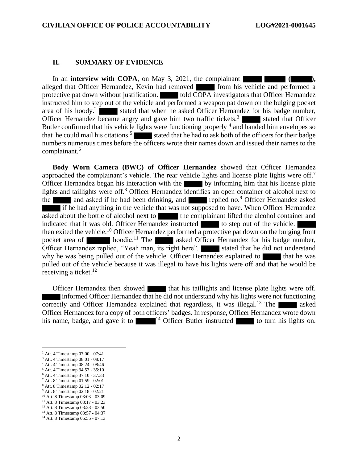#### **II. SUMMARY OF EVIDENCE**

In an **interview with COPA**, on May 3, 2021, the complainant **(a)**, alleged that Officer Hernandez, Kevin had removed from his vehicle and performed a protective pat down without justification. told COPA investigators that Officer Hernandez instructed him to step out of the vehicle and performed a weapon pat down on the bulging pocket area of his hoody.<sup>2</sup> stated that when he asked Officer Hernandez for his badge number, Officer Hernandez became angry and gave him two traffic tickets.<sup>3</sup> stated that Officer Butler confirmed that his vehicle lights were functioning properly <sup>4</sup> and handed him envelopes so that he could mail his citations.<sup>5</sup> stated that he had to ask both of the officers for their badge numbers numerous times before the officers wrote their names down and issued their names to the complainant.<sup>6</sup>

**Body Worn Camera (BWC) of Officer Hernandez** showed that Officer Hernandez approached the complainant's vehicle. The rear vehicle lights and license plate lights were off.<sup>7</sup> Officer Hernandez began his interaction with the by informing him that his license plate lights and taillights were off.<sup>8</sup> Officer Hernandez identifies an open container of alcohol next to the and asked if he had been drinking, and replied no.<sup>9</sup> Officer Hernandez asked if he had anything in the vehicle that was not supposed to have. When Officer Hernandez asked about the bottle of alcohol next to the complainant lifted the alcohol container and indicated that it was old. Officer Hernandez instructed to step out of the vehicle. then exited the vehicle.<sup>10</sup> Officer Hernandez performed a protective pat down on the bulging front pocket area of  $\blacksquare$  hoodie.<sup>11</sup> The asked Officer Hernandez for his badge number, Officer Hernandez replied, "Yeah man, its right here". stated that he did not understand why he was being pulled out of the vehicle. Officer Hernandez explained to  $\blacksquare$  that he was pulled out of the vehicle because it was illegal to have his lights were off and that he would be receiving a ticket. $12$ 

Officer Hernandez then showed that his taillights and license plate lights were off. informed Officer Hernandez that he did not understand why his lights were not functioning correctly and Officer Hernandez explained that regardless, it was illegal.<sup>13</sup> The asked Officer Hernandez for a copy of both officers' badges. In response, Officer Hernandez wrote down his name, badge, and gave it to  $14$  Officer Butler instructed to turn his lights on.

- <sup>7</sup> Att. 8 Timestamp 01:59 02:01
- <sup>8</sup> Att. 8 Timestamp 02:12 02:17
- <sup>9</sup> Att. 8 Timestamp 02:18 02:21
- <sup>10</sup> Att. 8 Timestamp 03:03 03:09
- <sup>11</sup> Att. 8 Timestamp 03:17 03:23
- <sup>12</sup> Att. 8 Timestamp 03:28 03:50

<sup>2</sup> Att. 4 Timestamp 07:00 - 07:41

<sup>3</sup> Att. 4 Timestamp 08:01 - 08:17 <sup>4</sup> Att. 4 Timestamp 08:24 - 08:46

<sup>5</sup> Att. 4 Timestamp 34:53 - 35:10

<sup>6</sup> Att. 4 Timestamp 37:10 - 37:33

<sup>13</sup> Att. 8 Timestamp 03:57 - 04:37

<sup>14</sup> Att. 8 Timestamp 05:55 - 07:13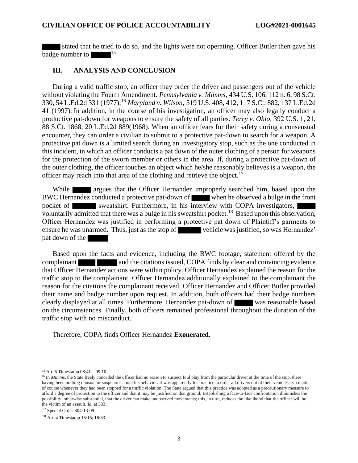stated that he tried to do so, and the lights were not operating. Officer Butler then gave his badge number to  $15$ 

### **III. ANALYSIS AND CONCLUSION**

During a valid traffic stop, an officer may order the driver and passengers out of the vehicle without violating the Fourth Amendment. *Pennsylvania v. Mimms,* [434 U.S. 106, 112 n. 6, 98 S.Ct.](https://1.next.westlaw.com/Link/Document/FullText?findType=Y&serNum=1978145388&pubNum=708&originatingDoc=I1cb16459232311e088699d6fd571daba&refType=RP&originationContext=document&transitionType=DocumentItem&contextData=(sc.DocLink))  [330, 54 L.Ed.2d 331 \(1977\);](https://1.next.westlaw.com/Link/Document/FullText?findType=Y&serNum=1978145388&pubNum=708&originatingDoc=I1cb16459232311e088699d6fd571daba&refType=RP&originationContext=document&transitionType=DocumentItem&contextData=(sc.DocLink)) <sup>16</sup> *Maryland v. Wilson,* [519 U.S. 408, 412, 117 S.Ct. 882, 137 L.Ed.2d](https://1.next.westlaw.com/Link/Document/FullText?findType=Y&serNum=1997053709&pubNum=708&originatingDoc=I1cb16459232311e088699d6fd571daba&refType=RP&originationContext=document&transitionType=DocumentItem&contextData=(sc.DocLink))  [41 \(1997\).](https://1.next.westlaw.com/Link/Document/FullText?findType=Y&serNum=1997053709&pubNum=708&originatingDoc=I1cb16459232311e088699d6fd571daba&refType=RP&originationContext=document&transitionType=DocumentItem&contextData=(sc.DocLink)) In addition, in the course of his investigation, an officer may also legally conduct a productive pat-down for weapons to ensure the safety of all parties. *Terry v. Ohio,* [392 U.S. 1, 21,](https://1.next.westlaw.com/Link/Document/FullText?findType=Y&serNum=1968131212&pubNum=708&originatingDoc=Id6fa8f22645811e1b71fa7764cbfcb47&refType=RP&originationContext=document&transitionType=DocumentItem&contextData=(sc.Search))  [88 S.Ct. 1868, 20 L.Ed.2d 889\(1968\).](https://1.next.westlaw.com/Link/Document/FullText?findType=Y&serNum=1968131212&pubNum=708&originatingDoc=Id6fa8f22645811e1b71fa7764cbfcb47&refType=RP&originationContext=document&transitionType=DocumentItem&contextData=(sc.Search)) When an officer fears for their safety during a consensual encounter, they can order a civilian to submit to a protective pat-down to search for a weapon. A protective pat down is a limited search during an investigatory stop, such as the one conducted in this incident, in which an officer conducts a pat down of the outer clothing of a person for weapons for the protection of the sworn member or others in the area. If, during a protective pat-down of the outer clothing, the officer touches an object which he/she reasonably believes is a weapon, the officer may reach into that area of the clothing and retrieve the object.<sup>17</sup>

While **argues that the Officer Hernandez improperly searched him, based upon the** BWC Hernandez conducted a protective pat-down of when he observed a bulge in the front pocket of sweatshirt. Furthermore, in his interview with COPA investigators, voluntarily admitted that there was a bulge in his sweatshirt pocket.<sup>18</sup> Based upon this observation, Officer Hernandez was justified in performing a protective pat down of Plaintiff's garments to ensure he was unarmed. Thus, just as the stop of vehicle was justified, so was Hernandez' pat down of the

Based upon the facts and evidence, including the BWC footage, statement offered by the complainant **and the citations issued, COPA finds by clear and convincing evidence** that Officer Hernandez actions were within policy. Officer Hernandez explained the reason for the traffic stop to the complainant. Officer Hernandez additionally explained to the complainant the reason for the citations the complainant received. Officer Hernandez and Officer Butler provided their name and badge number upon request. In addition, both officers had their badge numbers clearly displayed at all times. Furthermore, Hernandez pat-down of was reasonable based on the circumstances. Finally, both officers remained professional throughout the duration of the traffic stop with no misconduct.

Therefore, COPA finds Officer Hernandez **Exonerated**.

<sup>17</sup> Special Order S04-13-09

<sup>15</sup> Att. 6 Timestamp 08:41 – 09:10

<sup>&</sup>lt;sup>16</sup> In *Mimms*, the State freely conceded the officer had no reason to suspect foul play from the particular driver at the time of the stop, there having been nothing unusual or suspicious about his behavior. It was apparently his practice to order all drivers out of their vehicles as a matter of course whenever they had been stopped for a traffic violation. The State argued that this practice was adopted as a precautionary measure to afford a degree of protection to the officer and that it may be justified on that ground. Establishing a face-to-face confrontation diminishes the possibility, otherwise substantial, that the driver can make unobserved movements; this, in turn, reduces the likelihood that the officer will be the victim of an assault. *Id.* at 333.

<sup>18</sup> Att. 4 Timestamp 15:15; 16:33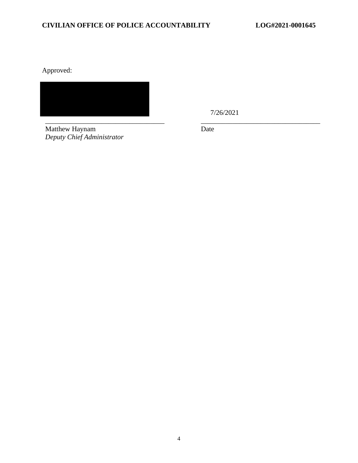Approved:

7/26/2021

\_\_\_\_\_\_\_\_\_\_\_\_\_\_\_\_\_\_\_\_\_\_\_\_\_\_\_\_\_\_\_\_\_\_ \_\_\_\_\_\_\_\_\_\_\_\_\_\_\_\_\_\_\_\_\_\_\_\_\_\_\_\_\_\_\_\_\_\_ Matthew Haynam *Deputy Chief Administrator* 

Date